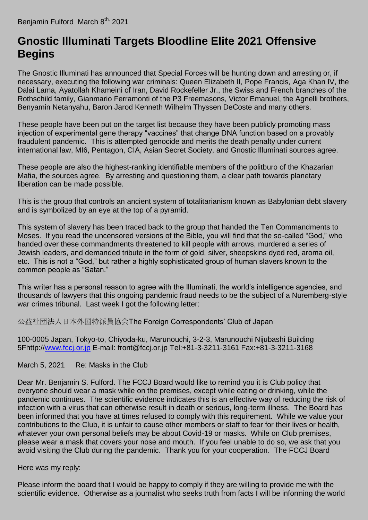## **[Gnostic Illuminati Targets Bloodline Elite 2021 Offensive](https://benjaminfulford.net/2021/03/08/gnostic-illuminati-targets-bloodline-elite-2021-offensive-begins/)  [Begins](https://benjaminfulford.net/2021/03/08/gnostic-illuminati-targets-bloodline-elite-2021-offensive-begins/)**

The Gnostic Illuminati has announced that Special Forces will be hunting down and arresting or, if necessary, executing the following war criminals: Queen Elizabeth II, Pope Francis, Aga Khan IV, the Dalai Lama, Ayatollah Khameini of Iran, David Rockefeller Jr., the Swiss and French branches of the Rothschild family, Gianmario Ferramonti of the P3 Freemasons, Victor Emanuel, the Agnelli brothers, Benyamin Netanyahu, Baron Jarod Kenneth Wilhelm Thyssen DeCoste and many others.

These people have been put on the target list because they have been publicly promoting mass injection of experimental gene therapy "vaccines" that change DNA function based on a provably fraudulent pandemic. This is attempted genocide and merits the death penalty under current international law, MI6, Pentagon, CIA, Asian Secret Society, and Gnostic Illuminati sources agree.

These people are also the highest-ranking identifiable members of the politburo of the Khazarian Mafia, the sources agree. By arresting and questioning them, a clear path towards planetary liberation can be made possible.

This is the group that controls an ancient system of totalitarianism known as Babylonian debt slavery and is symbolized by an eye at the top of a pyramid.

This system of slavery has been traced back to the group that handed the Ten Commandments to Moses. If you read the uncensored versions of the Bible, you will find that the so-called "God," who handed over these commandments threatened to kill people with arrows, murdered a series of Jewish leaders, and demanded tribute in the form of gold, silver, sheepskins dyed red, aroma oil, etc. This is not a "God," but rather a highly sophisticated group of human slavers known to the common people as "Satan."

This writer has a personal reason to agree with the Illuminati, the world's intelligence agencies, and thousands of lawyers that this ongoing pandemic fraud needs to be the subject of a Nuremberg-style war crimes tribunal. Last week I got the following letter:

公益社団法人日本外国特派員協会The Foreign Correspondents' Club of Japan

100-0005 Japan, Tokyo-to, Chiyoda-ku, Marunouchi, 3-2-3, Marunouchi Nijubashi Building 5Fhttp:/[/www.fccj.or.jp](http://www.fccj.or.jp/) E-mail: front@fccj.or.jp Tel:+81-3-3211-3161 Fax:+81-3-3211-3168

## March 5, 2021 Re: Masks in the Club

Dear Mr. Benjamin S. Fulford. The FCCJ Board would like to remind you it is Club policy that everyone should wear a mask while on the premises, except while eating or drinking, while the pandemic continues. The scientific evidence indicates this is an effective way of reducing the risk of infection with a virus that can otherwise result in death or serious, long-term illness. The Board has been informed that you have at times refused to comply with this requirement. While we value your contributions to the Club, it is unfair to cause other members or staff to fear for their lives or health, whatever your own personal beliefs may be about Covid-19 or masks. While on Club premises, please wear a mask that covers your nose and mouth. If you feel unable to do so, we ask that you avoid visiting the Club during the pandemic. Thank you for your cooperation. The FCCJ Board

## Here was my reply:

Please inform the board that I would be happy to comply if they are willing to provide me with the scientific evidence. Otherwise as a journalist who seeks truth from facts I will be informing the world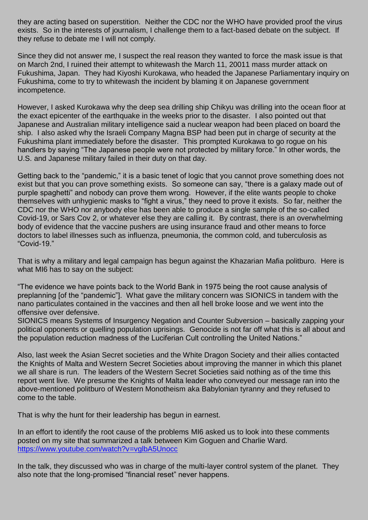they are acting based on superstition. Neither the CDC nor the WHO have provided proof the virus exists. So in the interests of journalism, I challenge them to a fact-based debate on the subject. If they refuse to debate me I will not comply.

Since they did not answer me, I suspect the real reason they wanted to force the mask issue is that on March 2nd, I ruined their attempt to whitewash the March 11, 20011 mass murder attack on Fukushima, Japan. They had Kiyoshi Kurokawa, who headed the Japanese Parliamentary inquiry on Fukushima, come to try to whitewash the incident by blaming it on Japanese government incompetence.

However, I asked Kurokawa why the deep sea drilling ship Chikyu was drilling into the ocean floor at the exact epicenter of the earthquake in the weeks prior to the disaster. I also pointed out that Japanese and Australian military intelligence said a nuclear weapon had been placed on board the ship. I also asked why the Israeli Company Magna BSP had been put in charge of security at the Fukushima plant immediately before the disaster. This prompted Kurokawa to go rogue on his handlers by saying "The Japanese people were not protected by military force." In other words, the U.S. and Japanese military failed in their duty on that day.

Getting back to the "pandemic," it is a basic tenet of logic that you cannot prove something does not exist but that you can prove something exists. So someone can say, "there is a galaxy made out of purple spaghetti" and nobody can prove them wrong. However, if the elite wants people to choke themselves with unhygienic masks to "fight a virus," they need to prove it exists. So far, neither the CDC nor the WHO nor anybody else has been able to produce a single sample of the so-called Covid-19, or Sars Cov 2, or whatever else they are calling it. By contrast, there is an overwhelming body of evidence that the vaccine pushers are using insurance fraud and other means to force doctors to label illnesses such as influenza, pneumonia, the common cold, and tuberculosis as "Covid-19."

That is why a military and legal campaign has begun against the Khazarian Mafia politburo. Here is what MI6 has to say on the subject:

"The evidence we have points back to the World Bank in 1975 being the root cause analysis of preplanning [of the "pandemic"]. What gave the military concern was SIONICS in tandem with the nano particulates contained in the vaccines and then all hell broke loose and we went into the offensive over defensive.

SIONICS means Systems of Insurgency Negation and Counter Subversion – basically zapping your political opponents or quelling population uprisings. Genocide is not far off what this is all about and the population reduction madness of the Luciferian Cult controlling the United Nations."

Also, last week the Asian Secret societies and the White Dragon Society and their allies contacted the Knights of Malta and Western Secret Societies about improving the manner in which this planet we all share is run. The leaders of the Western Secret Societies said nothing as of the time this report went live. We presume the Knights of Malta leader who conveyed our message ran into the above-mentioned politburo of Western Monotheism aka Babylonian tyranny and they refused to come to the table.

That is why the hunt for their leadership has begun in earnest.

In an effort to identify the root cause of the problems MI6 asked us to look into these comments posted on my site that summarized a talk between Kim Goguen and Charlie Ward. <https://www.youtube.com/watch?v=vglbA5Unocc>

In the talk, they discussed who was in charge of the multi-layer control system of the planet. They also note that the long-promised "financial reset" never happens.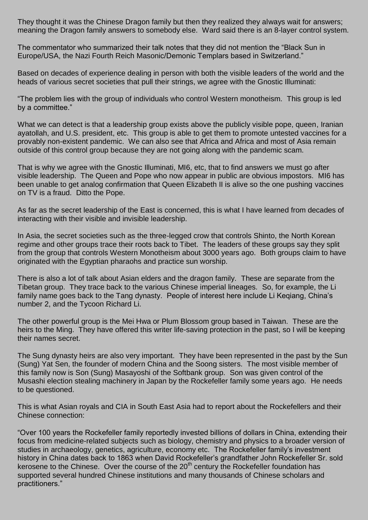They thought it was the Chinese Dragon family but then they realized they always wait for answers; meaning the Dragon family answers to somebody else. Ward said there is an 8-layer control system.

The commentator who summarized their talk notes that they did not mention the "Black Sun in Europe/USA, the Nazi Fourth Reich Masonic/Demonic Templars based in Switzerland."

Based on decades of experience dealing in person with both the visible leaders of the world and the heads of various secret societies that pull their strings, we agree with the Gnostic Illuminati:

"The problem lies with the group of individuals who control Western monotheism. This group is led by a committee."

What we can detect is that a leadership group exists above the publicly visible pope, queen, Iranian ayatollah, and U.S. president, etc. This group is able to get them to promote untested vaccines for a provably non-existent pandemic. We can also see that Africa and Africa and most of Asia remain outside of this control group because they are not going along with the pandemic scam.

That is why we agree with the Gnostic Illuminati, MI6, etc, that to find answers we must go after visible leadership. The Queen and Pope who now appear in public are obvious impostors. MI6 has been unable to get analog confirmation that Queen Elizabeth II is alive so the one pushing vaccines on TV is a fraud. Ditto the Pope.

As far as the secret leadership of the East is concerned, this is what I have learned from decades of interacting with their visible and invisible leadership.

In Asia, the secret societies such as the three-legged crow that controls Shinto, the North Korean regime and other groups trace their roots back to Tibet. The leaders of these groups say they split from the group that controls Western Monotheism about 3000 years ago. Both groups claim to have originated with the Egyptian pharaohs and practice sun worship.

There is also a lot of talk about Asian elders and the dragon family. These are separate from the Tibetan group. They trace back to the various Chinese imperial lineages. So, for example, the Li family name goes back to the Tang dynasty. People of interest here include Li Keqiang, China's number 2, and the Tycoon Richard Li.

The other powerful group is the Mei Hwa or Plum Blossom group based in Taiwan. These are the heirs to the Ming. They have offered this writer life-saving protection in the past, so I will be keeping their names secret.

The Sung dynasty heirs are also very important. They have been represented in the past by the Sun (Sung) Yat Sen, the founder of modern China and the Soong sisters. The most visible member of this family now is Son (Sung) Masayoshi of the Softbank group. Son was given control of the Musashi election stealing machinery in Japan by the Rockefeller family some years ago. He needs to be questioned.

This is what Asian royals and CIA in South East Asia had to report about the Rockefellers and their Chinese connection:

"Over 100 years the Rockefeller family reportedly invested billions of dollars in China, extending their focus from medicine-related subjects such as biology, chemistry and physics to a broader version of studies in archaeology, genetics, agriculture, economy etc. The Rockefeller family's investment history in China dates back to 1863 when David Rockefeller's grandfather John Rockefeller Sr. sold kerosene to the Chinese. Over the course of the  $20<sup>th</sup>$  century the Rockefeller foundation has supported several hundred Chinese institutions and many thousands of Chinese scholars and practitioners."